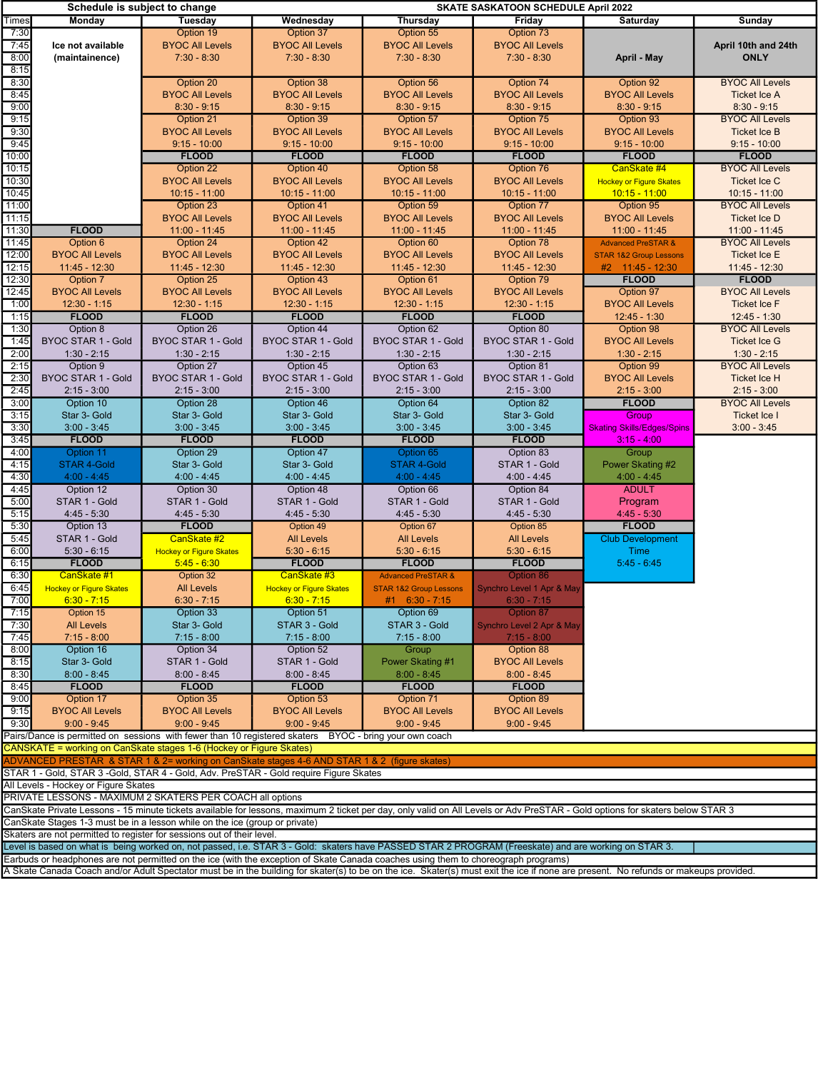|                                                                                                                                                                               |                                                                                                                                                      | Schedule is subject to change<br><b>SKATE SASKATOON SCHEDULE April 2022</b> |                                     |                                    |                                      |                                                |                                           |  |
|-------------------------------------------------------------------------------------------------------------------------------------------------------------------------------|------------------------------------------------------------------------------------------------------------------------------------------------------|-----------------------------------------------------------------------------|-------------------------------------|------------------------------------|--------------------------------------|------------------------------------------------|-------------------------------------------|--|
| Times                                                                                                                                                                         | Monday                                                                                                                                               | <b>Tuesdav</b>                                                              | Wednesday                           | <b>Thursday</b>                    | Friday                               | Saturday                                       | <b>Sunday</b>                             |  |
| 7:30                                                                                                                                                                          |                                                                                                                                                      | Option 19                                                                   | Option 37                           | Option 55                          | Option 73                            |                                                |                                           |  |
| 7:45                                                                                                                                                                          | Ice not available                                                                                                                                    | <b>BYOC All Levels</b>                                                      | <b>BYOC All Levels</b>              | <b>BYOC All Levels</b>             | <b>BYOC All Levels</b>               |                                                | April 10th and 24th                       |  |
| 8:00                                                                                                                                                                          | (maintainence)                                                                                                                                       | $7:30 - 8:30$                                                               | $7:30 - 8:30$                       | $7:30 - 8:30$                      | $7:30 - 8:30$                        | April - May                                    | <b>ONLY</b>                               |  |
| 8:15                                                                                                                                                                          |                                                                                                                                                      | Option 20                                                                   |                                     | Option 56                          | Option 74                            |                                                | <b>BYOC All Levels</b>                    |  |
| 8:30<br>8:45                                                                                                                                                                  |                                                                                                                                                      | <b>BYOC All Levels</b>                                                      | Option 38<br><b>BYOC All Levels</b> | <b>BYOC All Levels</b>             | <b>BYOC All Levels</b>               | Option 92<br><b>BYOC All Levels</b>            | <b>Ticket Ice A</b>                       |  |
| 9:00                                                                                                                                                                          |                                                                                                                                                      | $8:30 - 9:15$                                                               | $8:30 - 9:15$                       | $8:30 - 9:15$                      | $8:30 - 9:15$                        | $8:30 - 9:15$                                  | $8:30 - 9:15$                             |  |
| 9:15                                                                                                                                                                          |                                                                                                                                                      | Option 21                                                                   | Option 39                           | Option 57                          | Option 75                            | Option 93                                      | <b>BYOC All Levels</b>                    |  |
| 9:30                                                                                                                                                                          |                                                                                                                                                      | <b>BYOC All Levels</b>                                                      | <b>BYOC All Levels</b>              | <b>BYOC All Levels</b>             | <b>BYOC All Levels</b>               | <b>BYOC All Levels</b>                         | <b>Ticket Ice B</b>                       |  |
| 9:45                                                                                                                                                                          |                                                                                                                                                      | $9:15 - 10:00$                                                              | $9:15 - 10:00$                      | $9:15 - 10:00$                     | $9:15 - 10:00$                       | $9:15 - 10:00$                                 | $9:15 - 10:00$                            |  |
| 10:00                                                                                                                                                                         |                                                                                                                                                      | <b>FLOOD</b>                                                                | <b>FLOOD</b>                        | <b>FLOOD</b>                       | <b>FLOOD</b>                         | <b>FLOOD</b>                                   | <b>FLOOD</b>                              |  |
| 10:15                                                                                                                                                                         |                                                                                                                                                      | Option 22                                                                   | Option 40                           | Option 58                          | Option 76                            | CanSkate #4                                    | <b>BYOC All Levels</b>                    |  |
| 10:30                                                                                                                                                                         |                                                                                                                                                      | <b>BYOC All Levels</b>                                                      | <b>BYOC All Levels</b>              | <b>BYOC All Levels</b>             | <b>BYOC All Levels</b>               | <b>Hockey or Figure Skates</b>                 | Ticket Ice C                              |  |
| 10:45                                                                                                                                                                         |                                                                                                                                                      | $10:15 - 11:00$                                                             | $10:15 - 11:00$                     | $10:15 - 11:00$                    | $10:15 - 11:00$                      | $10:15 - 11:00$                                | 10:15 - 11:00                             |  |
| 11:00                                                                                                                                                                         |                                                                                                                                                      | Option 23                                                                   | Option 41                           | Option 59                          | Option 77                            | Option 95                                      | <b>BYOC All Levels</b>                    |  |
| 11:15                                                                                                                                                                         | <b>FLOOD</b>                                                                                                                                         | <b>BYOC All Levels</b>                                                      | <b>BYOC All Levels</b>              | <b>BYOC All Levels</b>             | <b>BYOC All Levels</b>               | <b>BYOC All Levels</b>                         | Ticket Ice D                              |  |
| 11:30<br>11:45                                                                                                                                                                | Option 6                                                                                                                                             | $11:00 - 11:45$<br>Option 24                                                | $11:00 - 11:45$<br>Option 42        | $11:00 - 11:45$<br>Option 60       | $11:00 - 11:45$<br>Option 78         | 11:00 - 11:45<br><b>Advanced PreSTAR &amp;</b> | $11:00 - 11:45$<br><b>BYOC All Levels</b> |  |
| 12:00                                                                                                                                                                         | <b>BYOC All Levels</b>                                                                                                                               | <b>BYOC All Levels</b>                                                      | <b>BYOC All Levels</b>              | <b>BYOC All Levels</b>             | <b>BYOC All Levels</b>               | <b>STAR 1&amp;2 Group Lessons</b>              | <b>Ticket Ice E</b>                       |  |
| 12:15                                                                                                                                                                         | 11:45 - 12:30                                                                                                                                        | $11:45 - 12:30$                                                             | $11:45 - 12:30$                     | 11:45 - 12:30                      | 11:45 - 12:30                        | #2 11:45 - 12:30                               | 11:45 - 12:30                             |  |
| 12:30                                                                                                                                                                         | Option 7                                                                                                                                             | Option 25                                                                   | Option 43                           | Option 61                          | Option 79                            | <b>FLOOD</b>                                   | <b>FLOOD</b>                              |  |
| 12:45                                                                                                                                                                         | <b>BYOC All Levels</b>                                                                                                                               | <b>BYOC All Levels</b>                                                      | <b>BYOC All Levels</b>              | <b>BYOC All Levels</b>             | <b>BYOC All Levels</b>               | Option 97                                      | <b>BYOC All Levels</b>                    |  |
| 1:00                                                                                                                                                                          | $12:30 - 1:15$                                                                                                                                       | $12:30 - 1:15$                                                              | $12:30 - 1:15$                      | $12:30 - 1:15$                     | $12:30 - 1:15$                       | <b>BYOC All Levels</b>                         | <b>Ticket Ice F</b>                       |  |
| 1:15                                                                                                                                                                          | <b>FLOOD</b>                                                                                                                                         | <b>FLOOD</b>                                                                | <b>FLOOD</b>                        | <b>FLOOD</b>                       | <b>FLOOD</b>                         | $12:45 - 1:30$                                 | $12:45 - 1:30$                            |  |
| 1:30                                                                                                                                                                          | Option 8                                                                                                                                             | Option 26                                                                   | Option 44                           | Option 62                          | Option 80                            | Option 98                                      | <b>BYOC All Levels</b>                    |  |
| 1:45                                                                                                                                                                          | <b>BYOC STAR 1 - Gold</b>                                                                                                                            | BYOC STAR 1 - Gold                                                          | <b>BYOC STAR 1 - Gold</b>           | <b>BYOC STAR 1 - Gold</b>          | <b>BYOC STAR 1 - Gold</b>            | <b>BYOC All Levels</b>                         | <b>Ticket Ice G</b>                       |  |
| 2:00                                                                                                                                                                          | $1:30 - 2:15$                                                                                                                                        | $1:30 - 2:15$                                                               | $1:30 - 2:15$                       | $1:30 - 2:15$                      | $1:30 - 2:15$                        | $1:30 - 2:15$                                  | $1:30 - 2:15$                             |  |
| 2:15                                                                                                                                                                          | Option 9                                                                                                                                             | Option 27                                                                   | Option 45                           | Option 63                          | Option 81                            | Option 99                                      | <b>BYOC All Levels</b>                    |  |
| 2:30                                                                                                                                                                          | <b>BYOC STAR 1 - Gold</b>                                                                                                                            | <b>BYOC STAR 1 - Gold</b>                                                   | <b>BYOC STAR 1 - Gold</b>           | <b>BYOC STAR 1 - Gold</b>          | BYOC STAR 1 - Gold                   | <b>BYOC All Levels</b>                         | <b>Ticket Ice H</b>                       |  |
| 2:45<br>3:00                                                                                                                                                                  | $2:15 - 3:00$                                                                                                                                        | $2:15 - 3:00$                                                               | $2:15 - 3:00$                       | $2:15 - 3:00$<br>Option 64         | $2:15 - 3:00$                        | $2:15 - 3:00$<br><b>FLOOD</b>                  | $2:15 - 3:00$<br><b>BYOC All Levels</b>   |  |
| 3:15                                                                                                                                                                          | Option 10<br>Star 3- Gold                                                                                                                            | Option 28<br>Star 3- Gold                                                   | Option 46<br>Star 3- Gold           | Star 3- Gold                       | Option 82<br>Star 3- Gold            | Group                                          | Ticket Ice I                              |  |
| 3:30                                                                                                                                                                          | $3:00 - 3:45$                                                                                                                                        | $3:00 - 3:45$                                                               | $3:00 - 3:45$                       | $3:00 - 3:45$                      | $3:00 - 3:45$                        | <b>Skating Skills/Edges/Spins</b>              | $3:00 - 3:45$                             |  |
| 3:45                                                                                                                                                                          | <b>FLOOD</b>                                                                                                                                         | <b>FLOOD</b>                                                                | <b>FLOOD</b>                        | <b>FLOOD</b>                       | <b>FLOOD</b>                         | $3:15 - 4:00$                                  |                                           |  |
| 4:00                                                                                                                                                                          | Option 11                                                                                                                                            | Option 29                                                                   | Option 47                           | Option 65                          | Option 83                            | Group                                          |                                           |  |
| 4:15                                                                                                                                                                          | <b>STAR 4-Gold</b>                                                                                                                                   | Star 3- Gold                                                                | Star 3- Gold                        | <b>STAR 4-Gold</b>                 | STAR 1 - Gold                        | Power Skating #2                               |                                           |  |
| 4:30                                                                                                                                                                          | $4:00 - 4:45$                                                                                                                                        | $4:00 - 4:45$                                                               | $4:00 - 4:45$                       | $4:00 - 4:45$                      | $4:00 - 4:45$                        | $4:00 - 4:45$                                  |                                           |  |
| 4:45                                                                                                                                                                          | Option 12                                                                                                                                            | Option 30                                                                   | Option 48                           | Option 66                          | Option 84                            | <b>ADULT</b>                                   |                                           |  |
| 5:00                                                                                                                                                                          | STAR 1 - Gold                                                                                                                                        | STAR 1 - Gold                                                               | STAR 1 - Gold                       | STAR 1 - Gold                      | STAR 1 - Gold                        | Program                                        |                                           |  |
| 5:15                                                                                                                                                                          | $4:45 - 5:30$                                                                                                                                        | $4:45 - 5:30$                                                               | $4:45 - 5:30$                       | 4:45 - 5:30                        | $4:45 - 5:30$                        | $4:45 - 5:30$                                  |                                           |  |
| 5:30                                                                                                                                                                          | Option 13                                                                                                                                            | <b>FLOOD</b>                                                                | Option 49                           | Option 67                          | Option 85                            | <b>FLOOD</b>                                   |                                           |  |
| 5:45<br>6:00                                                                                                                                                                  | STAR 1 - Gold<br>$5:30 - 6:15$                                                                                                                       | CanSkate #2                                                                 | <b>All Levels</b><br>$5:30 - 6:15$  | <b>All Levels</b><br>$5:30 - 6:15$ | <b>All Levels</b><br>5:30 - 6:15     | <b>Club Development</b><br><b>Time</b>         |                                           |  |
| 6:15                                                                                                                                                                          | <b>FLOOD</b>                                                                                                                                         | <b>Hockey or Figure Skates</b><br>$5:45 - 6:30$                             | <b>FLOOD</b>                        | <b>FLOOD</b>                       | <b>FLOOD</b>                         | $5:45 - 6:45$                                  |                                           |  |
| 6:30                                                                                                                                                                          | CanSkate #1                                                                                                                                          | Option 32                                                                   | CanSkate #3                         | <b>Advanced PreSTAR &amp;</b>      | Option 86                            |                                                |                                           |  |
| 6:45                                                                                                                                                                          | <b>Hockey or Figure Skates</b>                                                                                                                       | <b>All Levels</b>                                                           | <b>Hockey or Figure Skates</b>      | <b>STAR 1&amp;2 Group Lessons</b>  | <b>Synchro Level 1 Apr &amp; May</b> |                                                |                                           |  |
| 7:00                                                                                                                                                                          | $6:30 - 7:15$                                                                                                                                        | $6:30 - 7:15$                                                               | $6:30 - 7:15$                       | #1 6:30 - 7:15                     | $6:30 - 7:15$                        |                                                |                                           |  |
| 7:15                                                                                                                                                                          | Option 15                                                                                                                                            | Option 33                                                                   | Option 51                           | Option 69                          | Option 87                            |                                                |                                           |  |
| 7:30                                                                                                                                                                          | <b>All Levels</b>                                                                                                                                    | Star 3- Gold                                                                | STAR 3 - Gold                       | STAR 3 - Gold                      | Synchro Level 2 Apr & May            |                                                |                                           |  |
| 7:45                                                                                                                                                                          | $7:15 - 8:00$                                                                                                                                        | $7:15 - 8:00$                                                               | $7:15 - 8:00$                       | $7:15 - 8:00$                      | $7:15 - 8:00$                        |                                                |                                           |  |
| 8:00                                                                                                                                                                          | Option 16                                                                                                                                            | Option 34                                                                   | Option 52                           | Group                              | Option 88                            |                                                |                                           |  |
| 8:15                                                                                                                                                                          | Star 3- Gold                                                                                                                                         | STAR 1 - Gold                                                               | STAR 1 - Gold                       | Power Skating #1                   | <b>BYOC All Levels</b>               |                                                |                                           |  |
| 8:30                                                                                                                                                                          | $8:00 - 8:45$                                                                                                                                        | $8:00 - 8:45$                                                               | $8:00 - 8:45$<br><b>FLOOD</b>       | $8:00 - 8:45$                      | $8:00 - 8:45$                        |                                                |                                           |  |
| 8:45<br>9:00                                                                                                                                                                  | <b>FLOOD</b><br>Option 17                                                                                                                            | <b>FLOOD</b><br>Option 35                                                   | Option 53                           | <b>FLOOD</b><br>Option 71          | <b>FLOOD</b><br>Option 89            |                                                |                                           |  |
| 9:15                                                                                                                                                                          | <b>BYOC All Levels</b>                                                                                                                               | <b>BYOC All Levels</b>                                                      | <b>BYOC All Levels</b>              | <b>BYOC All Levels</b>             | <b>BYOC All Levels</b>               |                                                |                                           |  |
| 9:30                                                                                                                                                                          | $9:00 - 9:45$                                                                                                                                        | $9:00 - 9:45$                                                               | $9:00 - 9:45$                       | $9:00 - 9:45$                      | $9:00 - 9:45$                        |                                                |                                           |  |
|                                                                                                                                                                               | Pairs/Dance is permitted on sessions with fewer than 10 registered skaters BYOC - bring your own coach                                               |                                                                             |                                     |                                    |                                      |                                                |                                           |  |
| CANSKATE = working on CanSkate stages 1-6 (Hockey or Figure Skates)                                                                                                           |                                                                                                                                                      |                                                                             |                                     |                                    |                                      |                                                |                                           |  |
| ADVANCED PRESTAR & STAR 1 & 2= working on CanSkate stages 4-6 AND STAR 1 & 2 (figure skates)                                                                                  |                                                                                                                                                      |                                                                             |                                     |                                    |                                      |                                                |                                           |  |
|                                                                                                                                                                               | STAR 1 - Gold, STAR 3 -Gold, STAR 4 - Gold, Adv. PreSTAR - Gold require Figure Skates                                                                |                                                                             |                                     |                                    |                                      |                                                |                                           |  |
| All Levels - Hockey or Figure Skates                                                                                                                                          |                                                                                                                                                      |                                                                             |                                     |                                    |                                      |                                                |                                           |  |
|                                                                                                                                                                               | PRIVATE LESSONS - MAXIMUM 2 SKATERS PER COACH all options                                                                                            |                                                                             |                                     |                                    |                                      |                                                |                                           |  |
| CanSkate Private Lessons - 15 minute tickets available for lessons, maximum 2 ticket per day, only valid on All Levels or Adv PreSTAR - Gold options for skaters below STAR 3 |                                                                                                                                                      |                                                                             |                                     |                                    |                                      |                                                |                                           |  |
|                                                                                                                                                                               | CanSkate Stages 1-3 must be in a lesson while on the ice (group or private)<br>Skaters are not permitted to register for sessions out of their level |                                                                             |                                     |                                    |                                      |                                                |                                           |  |

Skaters are not permitted to register for sessions out of their level.

Level is based on what is being worked on, not passed, i.e. STAR 3 - Gold: skaters have PASSED STAR 2 PROGRAM (Freeskate) and are working on STAR 3.

Earbuds or headphones are not permitted on the ice (with the exception of Skate Canada coaches using them to choreograph programs) A Skate Canada Coach and/or Adult Spectator must be in the building for skater(s) to be on the ice. Skater(s) must exit the ice if none are present. No refunds or makeups provided.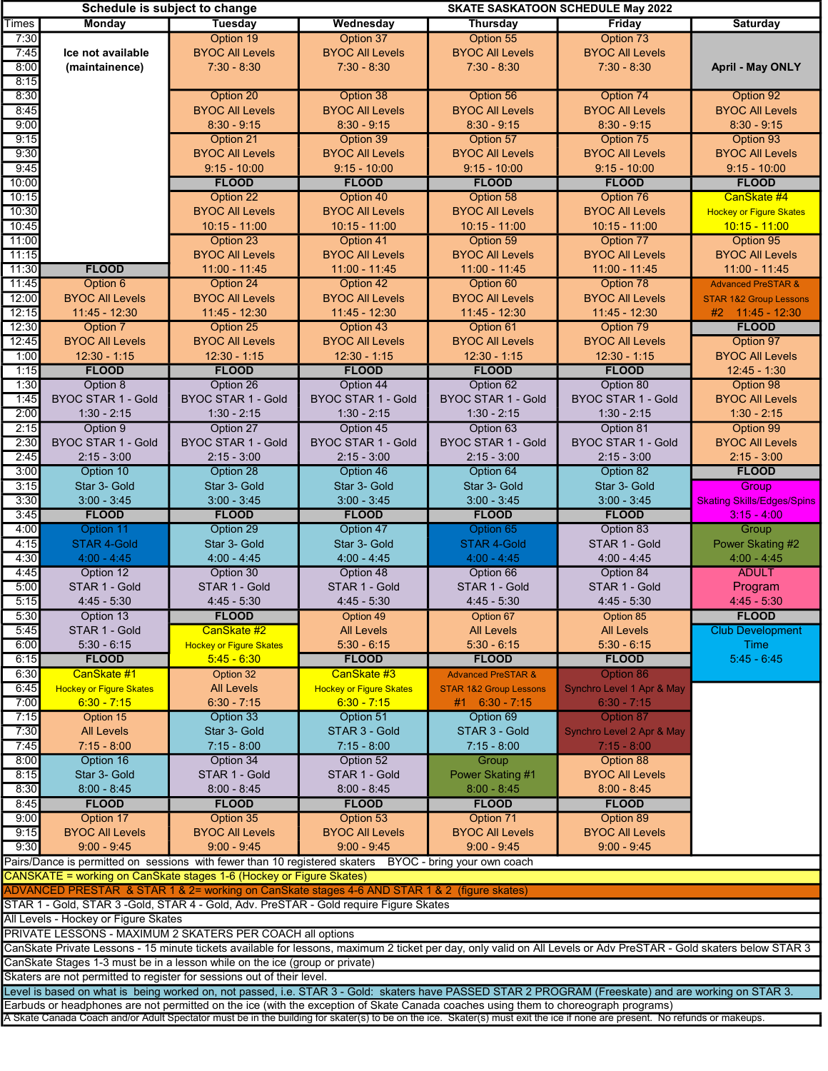|                                                                                                                                                                                                                                | Schedule is subject to change<br><b>SKATE SASKATOON SCHEDULE May 2022</b>                                                                            |                                |                                |                                   |                           |                                   |  |  |  |
|--------------------------------------------------------------------------------------------------------------------------------------------------------------------------------------------------------------------------------|------------------------------------------------------------------------------------------------------------------------------------------------------|--------------------------------|--------------------------------|-----------------------------------|---------------------------|-----------------------------------|--|--|--|
| <b>Times</b>                                                                                                                                                                                                                   | Monday                                                                                                                                               | Tuesday                        | Wednesday                      | Thursday                          | Friday                    | Saturday                          |  |  |  |
| 7:30                                                                                                                                                                                                                           |                                                                                                                                                      | Option 19                      | Option 37                      | Option 55                         | Option 73                 |                                   |  |  |  |
| 7:45                                                                                                                                                                                                                           | Ice not available                                                                                                                                    | <b>BYOC All Levels</b>         | <b>BYOC All Levels</b>         | <b>BYOC All Levels</b>            | <b>BYOC All Levels</b>    |                                   |  |  |  |
|                                                                                                                                                                                                                                |                                                                                                                                                      |                                |                                |                                   |                           |                                   |  |  |  |
| 8:00                                                                                                                                                                                                                           | (maintainence)                                                                                                                                       | $7:30 - 8:30$                  | $7:30 - 8:30$                  | $7:30 - 8:30$                     | $7:30 - 8:30$             | <b>April - May ONLY</b>           |  |  |  |
| 8:15                                                                                                                                                                                                                           |                                                                                                                                                      |                                |                                |                                   |                           |                                   |  |  |  |
| 8:30                                                                                                                                                                                                                           |                                                                                                                                                      | Option 20                      | Option 38                      | Option 56                         | Option 74                 | Option 92                         |  |  |  |
| 8:45                                                                                                                                                                                                                           |                                                                                                                                                      | <b>BYOC All Levels</b>         | <b>BYOC All Levels</b>         | <b>BYOC All Levels</b>            | <b>BYOC All Levels</b>    | <b>BYOC All Levels</b>            |  |  |  |
|                                                                                                                                                                                                                                |                                                                                                                                                      |                                |                                |                                   |                           |                                   |  |  |  |
| 9:00                                                                                                                                                                                                                           |                                                                                                                                                      | $8:30 - 9:15$                  | $8:30 - 9:15$                  | $8:30 - 9:15$                     | $8:30 - 9:15$             | $8:30 - 9:15$                     |  |  |  |
| 9:15                                                                                                                                                                                                                           |                                                                                                                                                      | Option 21                      | Option 39                      | Option 57                         | Option 75                 | Option 93                         |  |  |  |
| 9:30                                                                                                                                                                                                                           |                                                                                                                                                      | <b>BYOC All Levels</b>         | <b>BYOC All Levels</b>         | <b>BYOC All Levels</b>            | <b>BYOC All Levels</b>    | <b>BYOC All Levels</b>            |  |  |  |
| 9:45                                                                                                                                                                                                                           |                                                                                                                                                      | $9:15 - 10:00$                 | $9:15 - 10:00$                 | $9:15 - 10:00$                    | $9:15 - 10:00$            | $9:15 - 10:00$                    |  |  |  |
|                                                                                                                                                                                                                                |                                                                                                                                                      |                                |                                |                                   |                           |                                   |  |  |  |
| 10:00                                                                                                                                                                                                                          |                                                                                                                                                      | <b>FLOOD</b>                   | <b>FLOOD</b>                   | <b>FLOOD</b>                      | <b>FLOOD</b>              | <b>FLOOD</b>                      |  |  |  |
| 10:15                                                                                                                                                                                                                          |                                                                                                                                                      | Option 22                      | Option 40                      | Option 58                         | Option 76                 | CanSkate #4                       |  |  |  |
| 10:30                                                                                                                                                                                                                          |                                                                                                                                                      | <b>BYOC All Levels</b>         | <b>BYOC All Levels</b>         | <b>BYOC All Levels</b>            | <b>BYOC All Levels</b>    | <b>Hockey or Figure Skates</b>    |  |  |  |
| 10:45                                                                                                                                                                                                                          |                                                                                                                                                      | $10:15 - 11:00$                | $10:15 - 11:00$                | $10:15 - 11:00$                   | $10:15 - 11:00$           | $10:15 - 11:00$                   |  |  |  |
| 11:00                                                                                                                                                                                                                          |                                                                                                                                                      |                                |                                |                                   |                           |                                   |  |  |  |
|                                                                                                                                                                                                                                |                                                                                                                                                      | Option 23                      | Option 41                      | Option 59                         | Option 77                 | Option 95                         |  |  |  |
| 11:15                                                                                                                                                                                                                          |                                                                                                                                                      | <b>BYOC All Levels</b>         | <b>BYOC All Levels</b>         | <b>BYOC All Levels</b>            | <b>BYOC All Levels</b>    | <b>BYOC All Levels</b>            |  |  |  |
| 11:30                                                                                                                                                                                                                          | <b>FLOOD</b>                                                                                                                                         | 11:00 - 11:45                  | $11:00 - 11:45$                | $11:00 - 11:45$                   | $11:00 - 11:45$           | $11:00 - 11:45$                   |  |  |  |
| 11:45                                                                                                                                                                                                                          | Option 6                                                                                                                                             | Option 24                      | Option 42                      | Option 60                         | Option 78                 | <b>Advanced PreSTAR &amp;</b>     |  |  |  |
| 12:00                                                                                                                                                                                                                          | <b>BYOC All Levels</b>                                                                                                                               | <b>BYOC All Levels</b>         | <b>BYOC All Levels</b>         | <b>BYOC All Levels</b>            | <b>BYOC All Levels</b>    |                                   |  |  |  |
|                                                                                                                                                                                                                                |                                                                                                                                                      |                                |                                |                                   |                           | <b>STAR 1&amp;2 Group Lessons</b> |  |  |  |
| 12:15                                                                                                                                                                                                                          | $11:45 - 12:30$                                                                                                                                      | $11:45 - 12:30$                | $11:45 - 12:30$                | $11:45 - 12:30$                   | $11:45 - 12:30$           | #2 11:45 - 12:30                  |  |  |  |
| 12:30                                                                                                                                                                                                                          | Option 7                                                                                                                                             | Option 25                      | Option 43                      | Option 61                         | Option 79                 | <b>FLOOD</b>                      |  |  |  |
| 12:45                                                                                                                                                                                                                          | <b>BYOC All Levels</b>                                                                                                                               | <b>BYOC All Levels</b>         | <b>BYOC All Levels</b>         | <b>BYOC All Levels</b>            | <b>BYOC All Levels</b>    | Option 97                         |  |  |  |
| 1:00                                                                                                                                                                                                                           | $12:30 - 1:15$                                                                                                                                       | $12:30 - 1:15$                 | $12:30 - 1:15$                 | $12:30 - 1:15$                    | $12:30 - 1:15$            | <b>BYOC All Levels</b>            |  |  |  |
|                                                                                                                                                                                                                                |                                                                                                                                                      |                                |                                |                                   |                           |                                   |  |  |  |
| 1:15                                                                                                                                                                                                                           | <b>FLOOD</b>                                                                                                                                         | <b>FLOOD</b>                   | <b>FLOOD</b>                   | <b>FLOOD</b>                      | <b>FLOOD</b>              | $12:45 - 1:30$                    |  |  |  |
| 1:30                                                                                                                                                                                                                           | Option 8                                                                                                                                             | Option 26                      | Option 44                      | Option 62                         | Option 80                 | Option 98                         |  |  |  |
| 1:45                                                                                                                                                                                                                           | <b>BYOC STAR 1 - Gold</b>                                                                                                                            | BYOC STAR 1 - Gold             | <b>BYOC STAR 1 - Gold</b>      | BYOC STAR 1 - Gold                | <b>BYOC STAR 1 - Gold</b> | <b>BYOC All Levels</b>            |  |  |  |
| 2:00                                                                                                                                                                                                                           | $1:30 - 2:15$                                                                                                                                        | $1:30 - 2:15$                  | $1:30 - 2:15$                  | $1:30 - 2:15$                     | $1:30 - 2:15$             | $1:30 - 2:15$                     |  |  |  |
|                                                                                                                                                                                                                                |                                                                                                                                                      |                                |                                |                                   |                           |                                   |  |  |  |
| 2:15                                                                                                                                                                                                                           | Option 9                                                                                                                                             | Option 27                      | Option 45                      | Option 63                         | Option 81                 | Option 99                         |  |  |  |
| 2:30                                                                                                                                                                                                                           | <b>BYOC STAR 1 - Gold</b>                                                                                                                            | <b>BYOC STAR 1 - Gold</b>      | <b>BYOC STAR 1 - Gold</b>      | <b>BYOC STAR 1 - Gold</b>         | <b>BYOC STAR 1 - Gold</b> | <b>BYOC All Levels</b>            |  |  |  |
| 2:45                                                                                                                                                                                                                           | $2:15 - 3:00$                                                                                                                                        | $2:15 - 3:00$                  | $2:15 - 3:00$                  | $2:15 - 3:00$                     | $2:15 - 3:00$             | $2:15 - 3:00$                     |  |  |  |
| 3:00                                                                                                                                                                                                                           | Option 10                                                                                                                                            | Option 28                      | Option 46                      | Option 64                         | Option 82                 | <b>FLOOD</b>                      |  |  |  |
|                                                                                                                                                                                                                                |                                                                                                                                                      |                                |                                |                                   |                           |                                   |  |  |  |
| 3:15                                                                                                                                                                                                                           | Star 3- Gold                                                                                                                                         | Star 3- Gold                   | Star 3- Gold                   | Star 3- Gold                      | Star 3- Gold              | Group                             |  |  |  |
| 3:30                                                                                                                                                                                                                           | $3:00 - 3:45$                                                                                                                                        | $3:00 - 3:45$                  | $3:00 - 3:45$                  | $3:00 - 3:45$                     | $3:00 - 3:45$             | <b>Skating Skills/Edges/Spins</b> |  |  |  |
| 3:45                                                                                                                                                                                                                           | <b>FLOOD</b>                                                                                                                                         | <b>FLOOD</b>                   | <b>FLOOD</b>                   | <b>FLOOD</b>                      | <b>FLOOD</b>              | $3:15 - 4:00$                     |  |  |  |
| 4:00                                                                                                                                                                                                                           | Option 11                                                                                                                                            | Option 29                      | Option 47                      | Option 65                         | Option 83                 | Group                             |  |  |  |
|                                                                                                                                                                                                                                |                                                                                                                                                      |                                |                                |                                   |                           |                                   |  |  |  |
| 4:15                                                                                                                                                                                                                           | <b>STAR 4-Gold</b>                                                                                                                                   | Star 3- Gold                   | Star 3- Gold                   | <b>STAR 4-Gold</b>                | STAR 1 - Gold             | Power Skating #2                  |  |  |  |
| 4:30                                                                                                                                                                                                                           | $4:00 - 4:45$                                                                                                                                        | $4:00 - 4:45$                  | $4:00 - 4:45$                  | $4:00 - 4:45$                     | $4:00 - 4:45$             | $4:00 - 4:45$                     |  |  |  |
| 4:45                                                                                                                                                                                                                           | Option 12                                                                                                                                            | Option 30                      | Option 48                      | Option 66                         | Option 84                 | <b>ADULT</b>                      |  |  |  |
| 5:00                                                                                                                                                                                                                           | STAR 1 - Gold                                                                                                                                        | STAR 1 - Gold                  | STAR 1 - Gold                  | STAR 1 - Gold                     | STAR 1 - Gold             | Program                           |  |  |  |
| 5:15                                                                                                                                                                                                                           | $4:45 - 5:30$                                                                                                                                        | $4:45 - 5:30$                  | $4:45 - 5:30$                  | $4:45 - 5:30$                     | $4:45 - 5:30$             | $4:45 - 5:30$                     |  |  |  |
|                                                                                                                                                                                                                                |                                                                                                                                                      |                                |                                |                                   |                           |                                   |  |  |  |
| 5:30                                                                                                                                                                                                                           | Option 13                                                                                                                                            | <b>FLOOD</b>                   | Option 49                      | Option 67                         | Option 85                 | <b>FLOOD</b>                      |  |  |  |
| 5:45                                                                                                                                                                                                                           | STAR 1 - Gold                                                                                                                                        | CanSkate #2                    | <b>All Levels</b>              | <b>All Levels</b>                 | <b>All Levels</b>         | <b>Club Development</b>           |  |  |  |
| 6:00                                                                                                                                                                                                                           | $5:30 - 6:15$                                                                                                                                        | <b>Hockey or Figure Skates</b> | $5:30 - 6:15$                  | $5:30 - 6:15$                     | $5:30 - 6:15$             | Time                              |  |  |  |
| 6:15                                                                                                                                                                                                                           | <b>FLOOD</b>                                                                                                                                         | $5.45 - 6.30$                  | <b>FLOOD</b>                   | <b>FLOOD</b>                      | <b>FLOOD</b>              | $5:45 - 6:45$                     |  |  |  |
|                                                                                                                                                                                                                                |                                                                                                                                                      |                                |                                |                                   |                           |                                   |  |  |  |
| 6:30                                                                                                                                                                                                                           | CanSkate #1                                                                                                                                          | Option 32                      | CanSkate #3                    | <b>Advanced PreSTAR &amp;</b>     | Option 86                 |                                   |  |  |  |
| 6:45                                                                                                                                                                                                                           | <b>Hockey or Figure Skates</b>                                                                                                                       | <b>All Levels</b>              | <b>Hockey or Figure Skates</b> | <b>STAR 1&amp;2 Group Lessons</b> | Synchro Level 1 Apr & May |                                   |  |  |  |
| 7:00                                                                                                                                                                                                                           | $6:30 - 7:15$                                                                                                                                        | $6:30 - 7:15$                  | $6:30 - 7:15$                  | $#1$ 6:30 - 7:15                  | $6:30 - 7:15$             |                                   |  |  |  |
| 7:15                                                                                                                                                                                                                           | Option 15                                                                                                                                            | Option 33                      | Option 51                      | Option 69                         | Option 87                 |                                   |  |  |  |
| 7:30                                                                                                                                                                                                                           | <b>All Levels</b>                                                                                                                                    | Star 3- Gold                   | STAR 3 - Gold                  | STAR 3 - Gold                     | Synchro Level 2 Apr & May |                                   |  |  |  |
|                                                                                                                                                                                                                                |                                                                                                                                                      |                                |                                |                                   |                           |                                   |  |  |  |
| 7:45                                                                                                                                                                                                                           | $7:15 - 8:00$                                                                                                                                        | $7:15 - 8:00$                  | $7:15 - 8:00$                  | $7:15 - 8:00$                     | $7:15 - 8:00$             |                                   |  |  |  |
| 8:00                                                                                                                                                                                                                           | Option 16                                                                                                                                            | Option 34                      | Option 52                      | Group                             | Option 88                 |                                   |  |  |  |
| 8:15                                                                                                                                                                                                                           | Star 3- Gold                                                                                                                                         | STAR 1 - Gold                  | STAR 1 - Gold                  | Power Skating #1                  | <b>BYOC All Levels</b>    |                                   |  |  |  |
| 8:30                                                                                                                                                                                                                           | $8:00 - 8:45$                                                                                                                                        | $8:00 - 8:45$                  | $8:00 - 8:45$                  | $8:00 - 8:45$                     | $8:00 - 8:45$             |                                   |  |  |  |
|                                                                                                                                                                                                                                |                                                                                                                                                      |                                |                                |                                   |                           |                                   |  |  |  |
| 8:45                                                                                                                                                                                                                           | <b>FLOOD</b>                                                                                                                                         | <b>FLOOD</b>                   | <b>FLOOD</b>                   | <b>FLOOD</b>                      | <b>FLOOD</b>              |                                   |  |  |  |
| 9:00                                                                                                                                                                                                                           | Option 17                                                                                                                                            | Option 35                      | Option 53                      | Option 71                         | Option 89                 |                                   |  |  |  |
| 9:15                                                                                                                                                                                                                           | <b>BYOC All Levels</b>                                                                                                                               | <b>BYOC All Levels</b>         | <b>BYOC All Levels</b>         | <b>BYOC All Levels</b>            | <b>BYOC All Levels</b>    |                                   |  |  |  |
| 9:30                                                                                                                                                                                                                           | $9:00 - 9:45$                                                                                                                                        | $9:00 - 9:45$                  | $9:00 - 9:45$                  | $9:00 - 9:45$                     | $9:00 - 9:45$             |                                   |  |  |  |
|                                                                                                                                                                                                                                |                                                                                                                                                      |                                |                                |                                   |                           |                                   |  |  |  |
| Pairs/Dance is permitted on sessions with fewer than 10 registered skaters<br>BYOC - bring your own coach                                                                                                                      |                                                                                                                                                      |                                |                                |                                   |                           |                                   |  |  |  |
| CANSKATE = working on CanSkate stages 1-6 (Hockey or Figure Skates)                                                                                                                                                            |                                                                                                                                                      |                                |                                |                                   |                           |                                   |  |  |  |
| ADVANCED PRESTAR & STAR 1 & 2= working on CanSkate stages 4-6 AND STAR 1 & 2 (figure skates)                                                                                                                                   |                                                                                                                                                      |                                |                                |                                   |                           |                                   |  |  |  |
| STAR 1 - Gold, STAR 3 - Gold, STAR 4 - Gold, Adv. PreSTAR - Gold require Figure Skates                                                                                                                                         |                                                                                                                                                      |                                |                                |                                   |                           |                                   |  |  |  |
|                                                                                                                                                                                                                                |                                                                                                                                                      |                                |                                |                                   |                           |                                   |  |  |  |
| All Levels - Hockey or Figure Skates                                                                                                                                                                                           |                                                                                                                                                      |                                |                                |                                   |                           |                                   |  |  |  |
| PRIVATE LESSONS - MAXIMUM 2 SKATERS PER COACH all options<br>CanSkate Private Lessons - 15 minute tickets available for lessons, maximum 2 ticket per day, only valid on All Levels or Adv PreSTAR - Gold skaters below STAR 3 |                                                                                                                                                      |                                |                                |                                   |                           |                                   |  |  |  |
| CanSkate Stages 1-3 must be in a lesson while on the ice (group or private)                                                                                                                                                    |                                                                                                                                                      |                                |                                |                                   |                           |                                   |  |  |  |
|                                                                                                                                                                                                                                |                                                                                                                                                      |                                |                                |                                   |                           |                                   |  |  |  |
| Skaters are not permitted to register for sessions out of their level.                                                                                                                                                         |                                                                                                                                                      |                                |                                |                                   |                           |                                   |  |  |  |
|                                                                                                                                                                                                                                |                                                                                                                                                      |                                |                                |                                   |                           |                                   |  |  |  |
|                                                                                                                                                                                                                                | Level is based on what is being worked on, not passed, i.e. STAR 3 - Gold: skaters have PASSED STAR 2 PROGRAM (Freeskate) and are working on STAR 3. |                                |                                |                                   |                           |                                   |  |  |  |
| Earbuds or headphones are not permitted on the ice (with the exception of Skate Canada coaches using them to choreograph programs)                                                                                             |                                                                                                                                                      |                                |                                |                                   |                           |                                   |  |  |  |
| A Skate Canada Coach and/or Adult Spectator must be in the building for skater(s) to be on the ice. Skater(s) must exit the ice if none are present. No refunds or makeups.                                                    |                                                                                                                                                      |                                |                                |                                   |                           |                                   |  |  |  |
|                                                                                                                                                                                                                                |                                                                                                                                                      |                                |                                |                                   |                           |                                   |  |  |  |